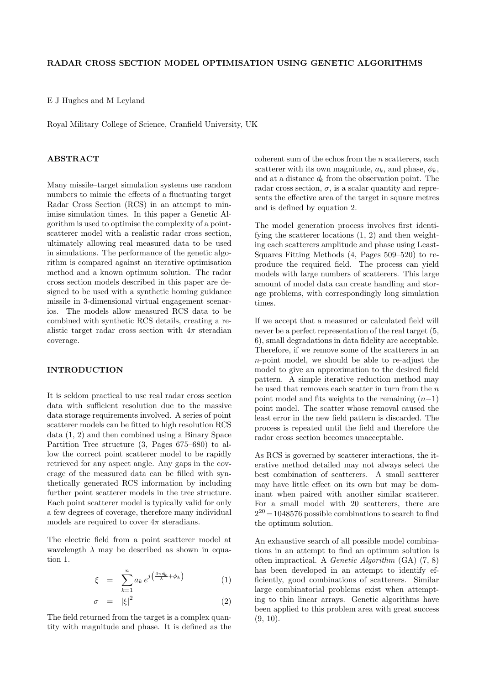E J Hughes and M Leyland

Royal Military College of Science, Cranfield University, UK

#### ABSTRACT

Many missile–target simulation systems use random numbers to mimic the effects of a fluctuating target Radar Cross Section (RCS) in an attempt to minimise simulation times. In this paper a Genetic Algorithm is used to optimise the complexity of a pointscatterer model with a realistic radar cross section, ultimately allowing real measured data to be used in simulations. The performance of the genetic algorithm is compared against an iterative optimisation method and a known optimum solution. The radar cross section models described in this paper are designed to be used with a synthetic homing guidance missile in 3-dimensional virtual engagement scenarios. The models allow measured RCS data to be combined with synthetic RCS details, creating a realistic target radar cross section with  $4\pi$  steradian coverage.

## INTRODUCTION

It is seldom practical to use real radar cross section data with sufficient resolution due to the massive data storage requirements involved. A series of point scatterer models can be fitted to high resolution RCS data (1, 2) and then combined using a Binary Space Partition Tree structure (3, Pages 675–680) to allow the correct point scatterer model to be rapidly retrieved for any aspect angle. Any gaps in the coverage of the measured data can be filled with synthetically generated RCS information by including further point scatterer models in the tree structure. Each point scatterer model is typically valid for only a few degrees of coverage, therefore many individual models are required to cover  $4\pi$  steradians.

The electric field from a point scatterer model at wavelength  $\lambda$  may be described as shown in equation 1.

$$
\xi = \sum_{k=1}^{n} a_k e^{j\left(\frac{4\pi d_k}{\lambda} + \phi_k\right)} \tag{1}
$$
\n
$$
\sigma = |\xi|^2 \tag{2}
$$

The field returned from the target is a complex quantity with magnitude and phase. It is defined as the coherent sum of the echos from the  $n$  scatterers, each scatterer with its own magnitude,  $a_k$ , and phase,  $\phi_k$ , and at a distance  $d_k$  from the observation point. The radar cross section,  $\sigma$ , is a scalar quantity and represents the effective area of the target in square metres and is defined by equation 2.

The model generation process involves first identifying the scatterer locations (1, 2) and then weighting each scatterers amplitude and phase using Least-Squares Fitting Methods (4, Pages 509–520) to reproduce the required field. The process can yield models with large numbers of scatterers. This large amount of model data can create handling and storage problems, with correspondingly long simulation times.

If we accept that a measured or calculated field will never be a perfect representation of the real target (5, 6), small degradations in data fidelity are acceptable. Therefore, if we remove some of the scatterers in an n-point model, we should be able to re-adjust the model to give an approximation to the desired field pattern. A simple iterative reduction method may be used that removes each scatter in turn from the  $n$ point model and fits weights to the remaining  $(n-1)$ point model. The scatter whose removal caused the least error in the new field pattern is discarded. The process is repeated until the field and therefore the radar cross section becomes unacceptable.

As RCS is governed by scatterer interactions, the iterative method detailed may not always select the best combination of scatterers. A small scatterer may have little effect on its own but may be dominant when paired with another similar scatterer. For a small model with 20 scatterers, there are  $2^{20} = 1048576$  possible combinations to search to find the optimum solution.

An exhaustive search of all possible model combinations in an attempt to find an optimum solution is often impractical. A Genetic Algorithm (GA) (7, 8) has been developed in an attempt to identify efficiently, good combinations of scatterers. Similar large combinatorial problems exist when attempting to thin linear arrays. Genetic algorithms have been applied to this problem area with great success  $(9, 10)$ .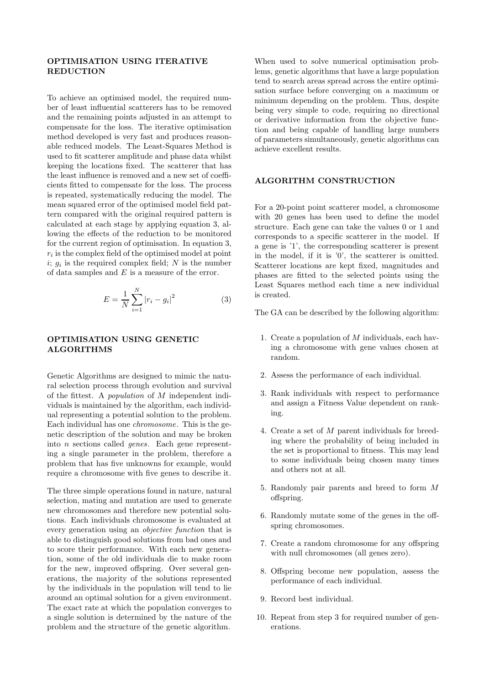### OPTIMISATION USING ITERATIVE **REDUCTION**

To achieve an optimised model, the required number of least influential scatterers has to be removed and the remaining points adjusted in an attempt to compensate for the loss. The iterative optimisation method developed is very fast and produces reasonable reduced models. The Least-Squares Method is used to fit scatterer amplitude and phase data whilst keeping the locations fixed. The scatterer that has the least influence is removed and a new set of coefficients fitted to compensate for the loss. The process is repeated, systematically reducing the model. The mean squared error of the optimised model field pattern compared with the original required pattern is calculated at each stage by applying equation 3, allowing the effects of the reduction to be monitored for the current region of optimisation. In equation 3,  $r_i$  is the complex field of the optimised model at point  $i; g_i$  is the required complex field; N is the number of data samples and  $E$  is a measure of the error.

$$
E = \frac{1}{N} \sum_{i=1}^{N} |r_i - g_i|^2
$$
 (3)

## OPTIMISATION USING GENETIC ALGORITHMS

Genetic Algorithms are designed to mimic the natural selection process through evolution and survival of the fittest. A population of M independent individuals is maintained by the algorithm, each individual representing a potential solution to the problem. Each individual has one chromosome. This is the genetic description of the solution and may be broken into  $n$  sections called *genes*. Each gene representing a single parameter in the problem, therefore a problem that has five unknowns for example, would require a chromosome with five genes to describe it.

The three simple operations found in nature, natural selection, mating and mutation are used to generate new chromosomes and therefore new potential solutions. Each individuals chromosome is evaluated at every generation using an objective function that is able to distinguish good solutions from bad ones and to score their performance. With each new generation, some of the old individuals die to make room for the new, improved offspring. Over several generations, the majority of the solutions represented by the individuals in the population will tend to lie around an optimal solution for a given environment. The exact rate at which the population converges to a single solution is determined by the nature of the problem and the structure of the genetic algorithm.

When used to solve numerical optimisation problems, genetic algorithms that have a large population tend to search areas spread across the entire optimisation surface before converging on a maximum or minimum depending on the problem. Thus, despite being very simple to code, requiring no directional or derivative information from the objective function and being capable of handling large numbers of parameters simultaneously, genetic algorithms can achieve excellent results.

# ALGORITHM CONSTRUCTION

For a 20-point point scatterer model, a chromosome with 20 genes has been used to define the model structure. Each gene can take the values 0 or 1 and corresponds to a specific scatterer in the model. If a gene is '1', the corresponding scatterer is present in the model, if it is '0', the scatterer is omitted. Scatterer locations are kept fixed, magnitudes and phases are fitted to the selected points using the Least Squares method each time a new individual is created.

The GA can be described by the following algorithm:

- 1. Create a population of  $M$  individuals, each having a chromosome with gene values chosen at random.
- 2. Assess the performance of each individual.
- 3. Rank individuals with respect to performance and assign a Fitness Value dependent on ranking.
- 4. Create a set of M parent individuals for breeding where the probability of being included in the set is proportional to fitness. This may lead to some individuals being chosen many times and others not at all.
- 5. Randomly pair parents and breed to form M offspring.
- 6. Randomly mutate some of the genes in the offspring chromosomes.
- 7. Create a random chromosome for any offspring with null chromosomes (all genes zero).
- 8. Offspring become new population, assess the performance of each individual.
- 9. Record best individual.
- 10. Repeat from step 3 for required number of generations.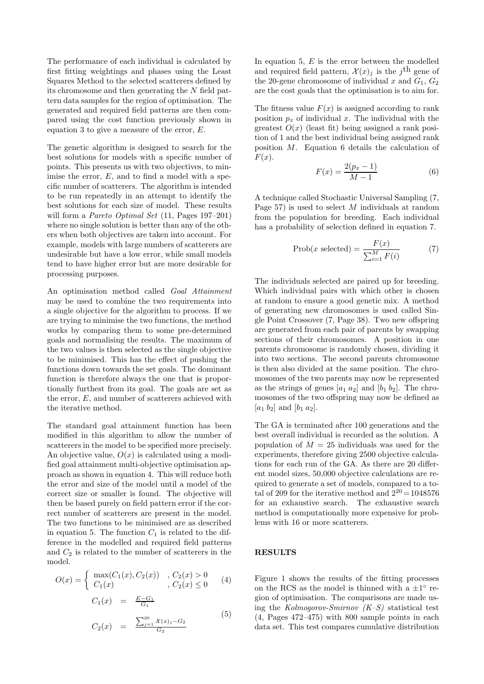The performance of each individual is calculated by first fitting weightings and phases using the Least Squares Method to the selected scatterers defined by its chromosome and then generating the N field pattern data samples for the region of optimisation. The generated and required field patterns are then compared using the cost function previously shown in equation 3 to give a measure of the error, E.

The genetic algorithm is designed to search for the best solutions for models with a specific number of points. This presents us with two objectives, to minimise the error,  $E$ , and to find a model with a specific number of scatterers. The algorithm is intended to be run repeatedly in an attempt to identify the best solutions for each size of model. These results will form a *Pareto Optimal Set* (11, Pages 197–201) where no single solution is better than any of the others when both objectives are taken into account. For example, models with large numbers of scatterers are undesirable but have a low error, while small models tend to have higher error but are more desirable for processing purposes.

An optimisation method called Goal Attainment may be used to combine the two requirements into a single objective for the algorithm to process. If we are trying to minimise the two functions, the method works by comparing them to some pre-determined goals and normalising the results. The maximum of the two values is then selected as the single objective to be minimised. This has the effect of pushing the functions down towards the set goals. The dominant function is therefore always the one that is proportionally furthest from its goal. The goals are set as the error, E, and number of scatterers achieved with the iterative method.

The standard goal attainment function has been modified in this algorithm to allow the number of scatterers in the model to be specified more precisely. An objective value,  $O(x)$  is calculated using a modified goal attainment multi-objective optimisation approach as shown in equation 4. This will reduce both the error and size of the model until a model of the correct size or smaller is found. The objective will then be based purely on field pattern error if the correct number of scatterers are present in the model. The two functions to be minimised are as described in equation 5. The function  $C_1$  is related to the difference in the modelled and required field patterns and  $C_2$  is related to the number of scatterers in the model.

$$
O(x) = \begin{cases} \max(C_1(x), C_2(x)) & , C_2(x) > 0 \\ C_1(x) & , C_2(x) \le 0 \end{cases}
$$
 (4)

$$
C_1(x) = \frac{E - G_1}{G_1}
$$
  
\n
$$
C_2(x) = \frac{\sum_{j=1}^{20} \chi(x)_j - G_2}{G_2}
$$
 (5)

 $G_2$ 

In equation 5,  $E$  is the error between the modelled and required field pattern,  $\mathcal{X}(x)_j$  is the j<sup>th</sup> gene of the 20-gene chromosome of individual x and  $G_1, G_2$ are the cost goals that the optimisation is to aim for.

The fitness value  $F(x)$  is assigned according to rank position  $p_x$  of individual x. The individual with the greatest  $O(x)$  (least fit) being assigned a rank position of 1 and the best individual being assigned rank position M. Equation 6 details the calculation of  $F(x)$ .

$$
F(x) = \frac{2(p_x - 1)}{M - 1}
$$
 (6)

A technique called Stochastic Universal Sampling (7, Page 57) is used to select  $M$  individuals at random from the population for breeding. Each individual has a probability of selection defined in equation 7.

$$
\text{Prob}(x \text{ selected}) = \frac{F(x)}{\sum_{i=1}^{M} F(i)} \tag{7}
$$

The individuals selected are paired up for breeding. Which individual pairs with which other is chosen at random to ensure a good genetic mix. A method of generating new chromosomes is used called Single Point Crossover (7, Page 38). Two new offspring are generated from each pair of parents by swapping sections of their chromosomes. A position in one parents chromosome is randomly chosen, dividing it into two sections. The second parents chromosome is then also divided at the same position. The chromosomes of the two parents may now be represented as the strings of genes  $[a_1 a_2]$  and  $[b_1 b_2]$ . The chromosomes of the two offspring may now be defined as  $[a_1 \, b_2]$  and  $[b_1 \, a_2]$ .

The GA is terminated after 100 generations and the best overall individual is recorded as the solution. A population of  $M = 25$  individuals was used for the experiments, therefore giving 2500 objective calculations for each run of the GA. As there are 20 different model sizes, 50,000 objective calculations are required to generate a set of models, compared to a total of 209 for the iterative method and  $2^{20} = 1048576$ for an exhaustive search. The exhaustive search method is computationally more expensive for problems with 16 or more scatterers.

#### RESULTS

Figure 1 shows the results of the fitting processes on the RCS as the model is thinned with a  $\pm 1^{\circ}$  region of optimisation. The comparisons are made using the Kolmogorov-Smirnov  $(K-S)$  statistical test (4, Pages 472–475) with 800 sample points in each data set. This test compares cumulative distribution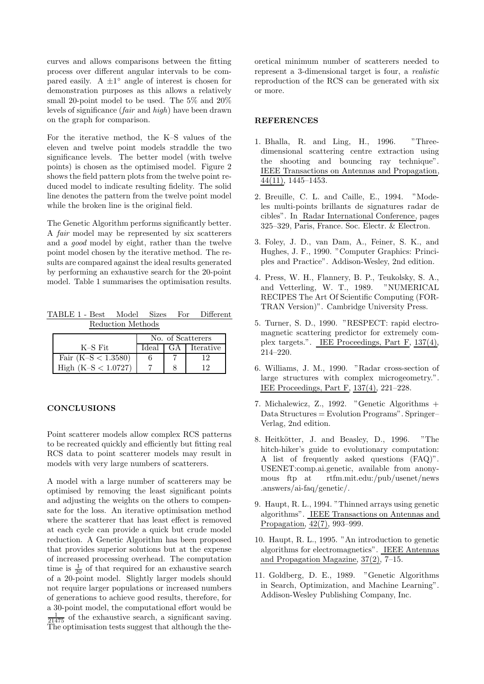curves and allows comparisons between the fitting process over different angular intervals to be compared easily. A  $\pm 1^{\circ}$  angle of interest is chosen for demonstration purposes as this allows a relatively small 20-point model to be used. The 5% and 20% levels of significance (fair and high) have been drawn on the graph for comparison.

For the iterative method, the K–S values of the eleven and twelve point models straddle the two significance levels. The better model (with twelve points) is chosen as the optimised model. Figure 2 shows the field pattern plots from the twelve point reduced model to indicate resulting fidelity. The solid line denotes the pattern from the twelve point model while the broken line is the original field.

The Genetic Algorithm performs significantly better. A fair model may be represented by six scatterers and a good model by eight, rather than the twelve point model chosen by the iterative method. The results are compared against the ideal results generated by performing an exhaustive search for the 20-point model. Table 1 summarises the optimisation results.

| TABLE 1 - Best Model Sizes For Different |  |  |  |
|------------------------------------------|--|--|--|
| Reduction Methods                        |  |  |  |

|                       | No. of Scatterers |  |                        |
|-----------------------|-------------------|--|------------------------|
| $K-S$ Fit             |                   |  | Ideal   GA   Iterative |
| Fair $(K-S < 1.3580)$ |                   |  |                        |
| High $(K-S < 1.0727)$ |                   |  | 19                     |

# CONCLUSIONS

Point scatterer models allow complex RCS patterns to be recreated quickly and efficiently but fitting real RCS data to point scatterer models may result in models with very large numbers of scatterers.

A model with a large number of scatterers may be optimised by removing the least significant points and adjusting the weights on the others to compensate for the loss. An iterative optimisation method where the scatterer that has least effect is removed at each cycle can provide a quick but crude model reduction. A Genetic Algorithm has been proposed that provides superior solutions but at the expense of increased processing overhead. The computation time is  $\frac{1}{20}$  of that required for an exhaustive search of a 20-point model. Slightly larger models should not require larger populations or increased numbers of generations to achieve good results, therefore, for a 30-point model, the computational effort would be  $\frac{1}{21475}$  of the exhaustive search, a significant saving. The optimisation tests suggest that although the the-

oretical minimum number of scatterers needed to represent a 3-dimensional target is four, a realistic reproduction of the RCS can be generated with six or more.

## **REFERENCES**

- 1. Bhalla, R. and Ling, H., 1996. "Threedimensional scattering centre extraction using the shooting and bouncing ray technique". IEEE Transactions on Antennas and Propagation, 44(11), 1445–1453.
- 2. Breuille, C. L. and Caille, E., 1994. "Modeles multi-points brillants de signatures radar de cibles". In Radar International Conference, pages 325–329, Paris, France. Soc. Electr. & Electron.
- 3. Foley, J. D., van Dam, A., Feiner, S. K., and Hughes, J. F., 1990. "Computer Graphics: Principles and Practice". Addison-Wesley, 2nd edition.
- 4. Press, W. H., Flannery, B. P., Teukolsky, S. A., and Vetterling, W. T., 1989. "NUMERICAL RECIPES The Art Of Scientific Computing (FOR-TRAN Version)". Cambridge University Press.
- 5. Turner, S. D., 1990. "RESPECT: rapid electromagnetic scattering predictor for extremely complex targets.". IEE Proceedings, Part F, 137(4), 214–220.
- 6. Williams, J. M., 1990. "Radar cross-section of large structures with complex microgeometry.". IEE Proceedings, Part F, 137(4), 221–228.
- 7. Michalewicz, Z., 1992. "Genetic Algorithms + Data Structures = Evolution Programs". Springer– Verlag, 2nd edition.
- 8. Heitkötter, J. and Beasley, D., 1996. "The hitch-hiker's guide to evolutionary computation: A list of frequently asked questions (FAQ)". USENET:comp.ai.genetic, available from anonymous ftp at rtfm.mit.edu:/pub/usenet/news .answers/ai-faq/genetic/.
- 9. Haupt, R. L., 1994. "Thinned arrays using genetic algorithms". IEEE Transactions on Antennas and Propagation, 42(7), 993–999.
- 10. Haupt, R. L., 1995. "An introduction to genetic algorithms for electromagnetics". IEEE Antennas and Propagation Magazine, 37(2), 7–15.
- 11. Goldberg, D. E., 1989. "Genetic Algorithms in Search, Optimization, and Machine Learning". Addison-Wesley Publishing Company, Inc.